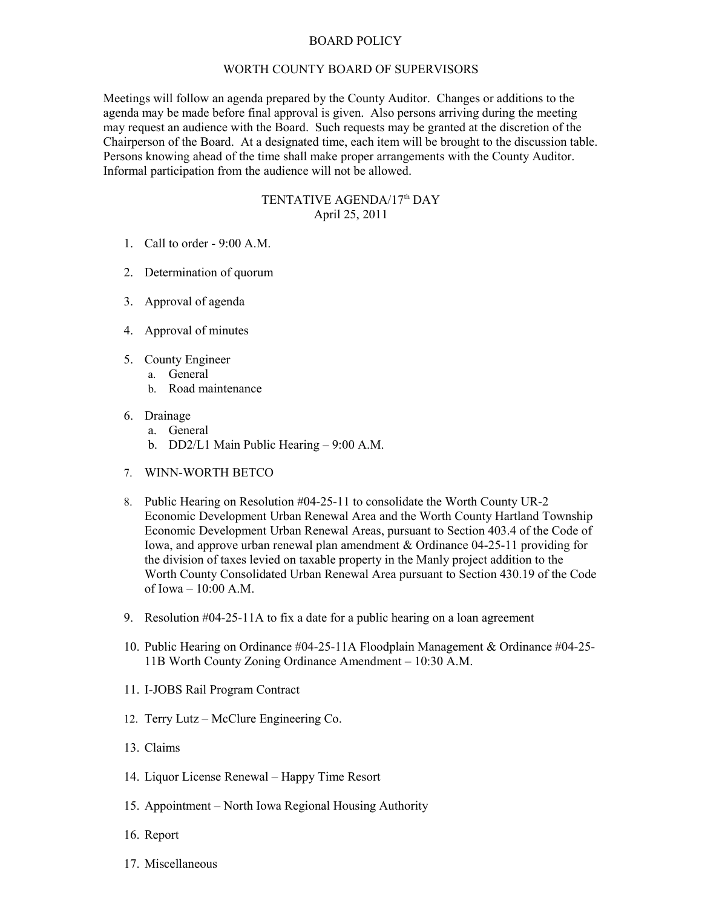## BOARD POLICY

## WORTH COUNTY BOARD OF SUPERVISORS

Meetings will follow an agenda prepared by the County Auditor. Changes or additions to the agenda may be made before final approval is given. Also persons arriving during the meeting may request an audience with the Board. Such requests may be granted at the discretion of the Chairperson of the Board. At a designated time, each item will be brought to the discussion table. Persons knowing ahead of the time shall make proper arrangements with the County Auditor. Informal participation from the audience will not be allowed.

## TENTATIVE AGENDA/17<sup>th</sup> DAY April 25, 2011

- 1. Call to order 9:00 A.M.
- 2. Determination of quorum
- 3. Approval of agenda
- 4. Approval of minutes
- 5. County Engineer
	- a. General
		- b. Road maintenance
- 6. Drainage
	- a. General
	- b. DD2/L1 Main Public Hearing 9:00 A.M.
- 7. WINN-WORTH BETCO
- 8. Public Hearing on Resolution #04-25-11 to consolidate the Worth County UR-2 Economic Development Urban Renewal Area and the Worth County Hartland Township Economic Development Urban Renewal Areas, pursuant to Section 403.4 of the Code of Iowa, and approve urban renewal plan amendment & Ordinance 04-25-11 providing for the division of taxes levied on taxable property in the Manly project addition to the Worth County Consolidated Urban Renewal Area pursuant to Section 430.19 of the Code of Iowa – 10:00 A.M.
- 9. Resolution #04-25-11A to fix a date for a public hearing on a loan agreement
- 10. Public Hearing on Ordinance #04-25-11A Floodplain Management & Ordinance #04-25- 11B Worth County Zoning Ordinance Amendment – 10:30 A.M.
- 11. I-JOBS Rail Program Contract
- 12. Terry Lutz McClure Engineering Co.
- 13. Claims
- 14. Liquor License Renewal Happy Time Resort
- 15. Appointment North Iowa Regional Housing Authority
- 16. Report
- 17. Miscellaneous